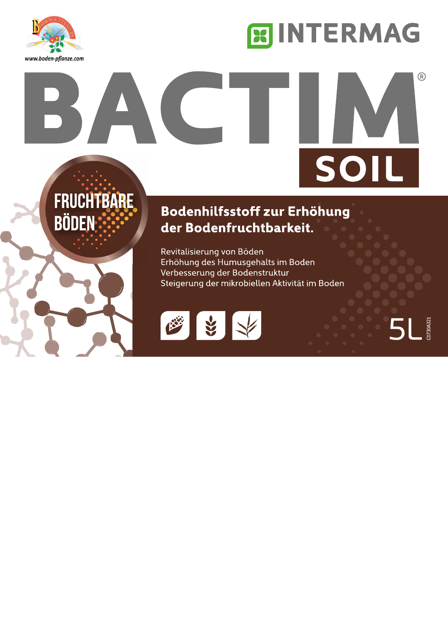

## **EINTERMAG**

# $^{\circledR}$ SOIL

## **FRUCHTBARE BÖDEN:**

### Bodenhilfsstoff zur Erhöhung der Bodenfruchtbarkeit.

Revitalisierung von Böden Erhöhung des Humusgehalts im Boden Verbesserung der Bodenstruktur Steigerung der mikrobiellen Aktivität im Boden



5L